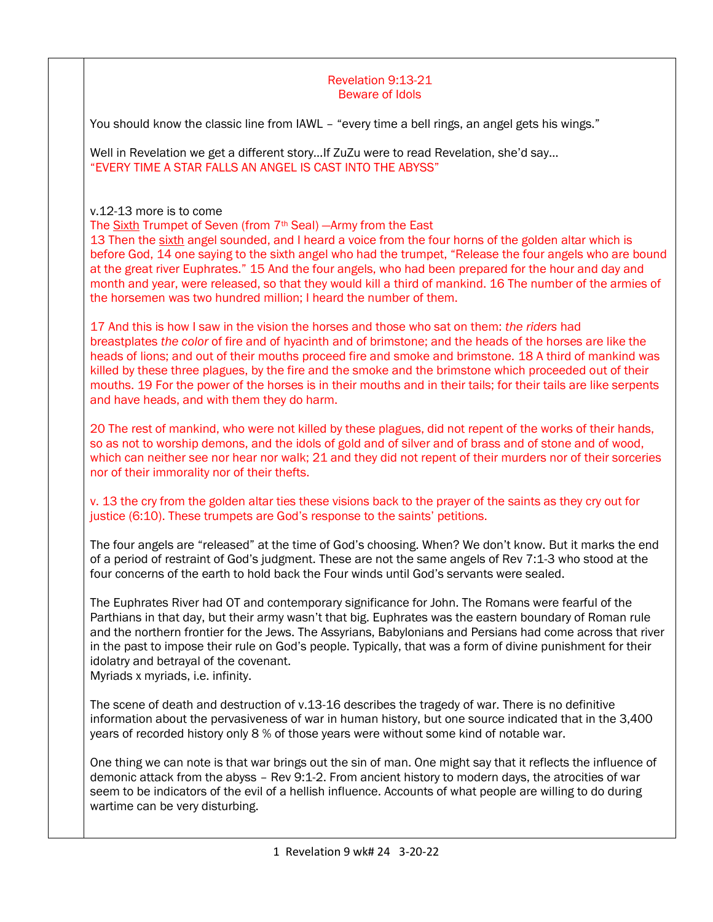## Revelation 9:13-21 Beware of Idols

You should know the classic line from IAWL - "every time a bell rings, an angel gets his wings."

Well in Revelation we get a different story…If ZuZu were to read Revelation, she'd say… "EVERY TIME A STAR FALLS AN ANGEL IS CAST INTO THE ABYSS"

v.12-13 more is to come

The Sixth Trumpet of Seven (from 7<sup>th</sup> Seal) - Army from the East

13 Then the sixth angel sounded, and I heard a voice from the four horns of the golden altar which is before God, 14 one saying to the sixth angel who had the trumpet, "Release the four angels who are bound at the great river Euphrates." 15 And the four angels, who had been prepared for the hour and day and month and year, were released, so that they would kill a third of mankind. 16 The number of the armies of the horsemen was two hundred million; I heard the number of them.

17 And this is how I saw in the vision the horses and those who sat on them: *the riders* had breastplates *the color* of fire and of hyacinth and of brimstone; and the heads of the horses are like the heads of lions; and out of their mouths proceed fire and smoke and brimstone. 18 A third of mankind was killed by these three plagues, by the fire and the smoke and the brimstone which proceeded out of their mouths. 19 For the power of the horses is in their mouths and in their tails; for their tails are like serpents and have heads, and with them they do harm.

20 The rest of mankind, who were not killed by these plagues, did not repent of the works of their hands, so as not to worship demons, and the idols of gold and of silver and of brass and of stone and of wood, which can neither see nor hear nor walk; 21 and they did not repent of their murders nor of their sorceries nor of their immorality nor of their thefts.

## v. 13 the cry from the golden altar ties these visions back to the prayer of the saints as they cry out for justice (6:10). These trumpets are God's response to the saints' petitions.

The four angels are "released" at the time of God's choosing. When? We don't know. But it marks the end of a period of restraint of God's judgment. These are not the same angels of Rev 7:1-3 who stood at the four concerns of the earth to hold back the Four winds until God's servants were sealed.

The Euphrates River had OT and contemporary significance for John. The Romans were fearful of the Parthians in that day, but their army wasn't that big. Euphrates was the eastern boundary of Roman rule and the northern frontier for the Jews. The Assyrians, Babylonians and Persians had come across that river in the past to impose their rule on God's people. Typically, that was a form of divine punishment for their idolatry and betrayal of the covenant.

Myriads x myriads, i.e. infinity.

The scene of death and destruction of v.13-16 describes the tragedy of war. There is no definitive information about the pervasiveness of war in human history, but one source indicated that in the 3,400 years of recorded history only 8 % of those years were without some kind of notable war.

One thing we can note is that war brings out the sin of man. One might say that it reflects the influence of demonic attack from the abyss – Rev 9:1-2. From ancient history to modern days, the atrocities of war seem to be indicators of the evil of a hellish influence. Accounts of what people are willing to do during wartime can be very disturbing.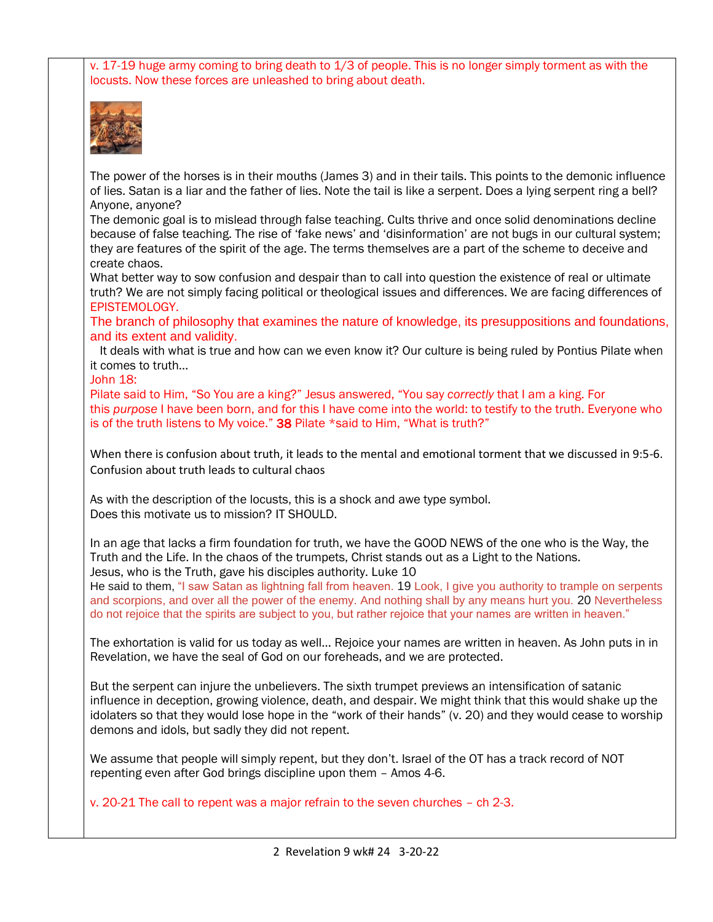v. 17-19 huge army coming to bring death to 1/3 of people. This is no longer simply torment as with the locusts. Now these forces are unleashed to bring about death.



The power of the horses is in their mouths (James 3) and in their tails. This points to the demonic influence of lies. Satan is a liar and the father of lies. Note the tail is like a serpent. Does a lying serpent ring a bell? Anyone, anyone?

The demonic goal is to mislead through false teaching. Cults thrive and once solid denominations decline because of false teaching. The rise of 'fake news' and 'disinformation' are not bugs in our cultural system; they are features of the spirit of the age. The terms themselves are a part of the scheme to deceive and create chaos.

What better way to sow confusion and despair than to call into question the existence of real or ultimate truth? We are not simply facing political or theological issues and differences. We are facing differences of EPISTEMOLOGY.

The branch of philosophy that examines the nature of knowledge, its presuppositions and foundations, and its extent and validity.

 It deals with what is true and how can we even know it? Our culture is being ruled by Pontius Pilate when it comes to truth…

John 18:

Pilate said to Him, "So You are a king?" Jesus answered, "You say *correctly* that I am a king. For this *purpose* I have been born, and for this I have come into the world: to testify to the truth. Everyone who is of the truth listens to My voice." [38](https://biblehub.com/john/18-38.htm) Pilate \*said to Him, "What is truth?"

When there is confusion about truth, it leads to the mental and emotional torment that we discussed in 9:5-6. Confusion about truth leads to cultural chaos

As with the description of the locusts, this is a shock and awe type symbol. Does this motivate us to mission? IT SHOULD.

In an age that lacks a firm foundation for truth, we have the GOOD NEWS of the one who is the Way, the Truth and the Life. In the chaos of the trumpets, Christ stands out as a Light to the Nations. Jesus, who is the Truth, gave his disciples authority. Luke 10

He said to them, "I saw Satan as lightning fall from heaven. 19 Look, I give you authority to trample on serpents and scorpions, and over all the power of the enemy. And nothing shall by any means hurt you. 20 Nevertheless do not rejoice that the spirits are subject to you, but rather rejoice that your names are written in heaven."

The exhortation is valid for us today as well… Rejoice your names are written in heaven. As John puts in in Revelation, we have the seal of God on our foreheads, and we are protected.

But the serpent can injure the unbelievers. The sixth trumpet previews an intensification of satanic influence in deception, growing violence, death, and despair. We might think that this would shake up the idolaters so that they would lose hope in the "work of their hands" (v. 20) and they would cease to worship demons and idols, but sadly they did not repent.

We assume that people will simply repent, but they don't. Israel of the OT has a track record of NOT repenting even after God brings discipline upon them – Amos 4-6.

v. 20-21 The call to repent was a major refrain to the seven churches – ch 2-3.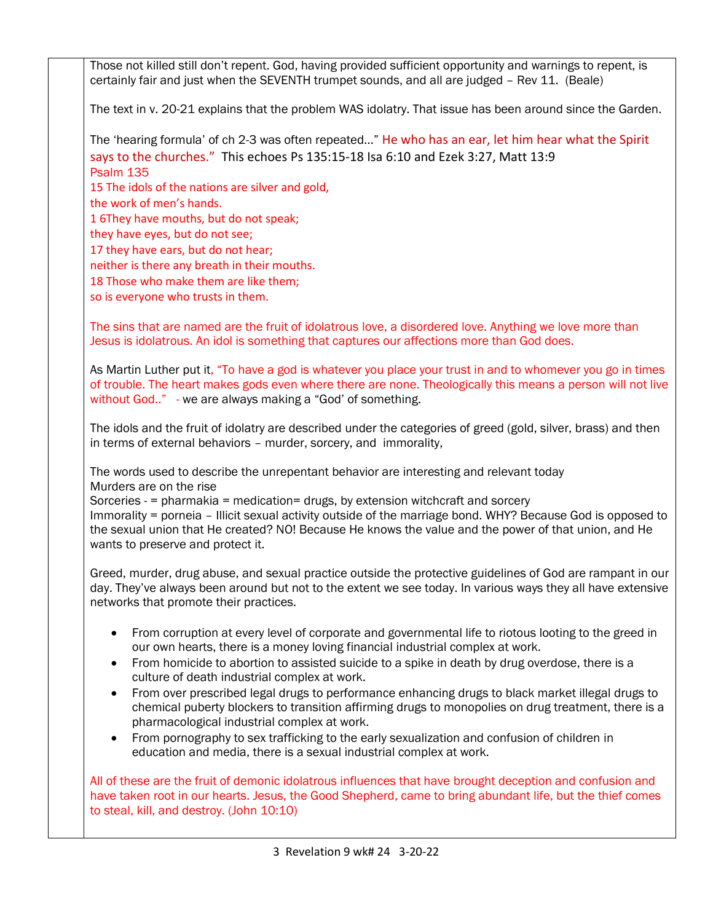Those not killed still don't repent. God, having provided sufficient opportunity and warnings to repent, is certainly fair and just when the SEVENTH trumpet sounds, and all are judged – Rev 11. (Beale)

The text in v. 20-21 explains that the problem WAS idolatry. That issue has been around since the Garden.

The 'hearing formula' of ch 2-3 was often repeated…" He who has an ear, let him hear what the Spirit says to the churches." This echoes Ps 135:15-18 Isa 6:10 and Ezek 3:27, Matt 13:9 Psalm 135

15 The idols of the nations are silver and gold,

the work of men's hands.

1 6They have mouths, but do not speak;

they have eyes, but do not see;

17 they have ears, but do not hear;

neither is there any breath in their mouths.

18 Those who make them are like them;

so is everyone who trusts in them.

The sins that are named are the fruit of idolatrous love, a disordered love. Anything we love more than Jesus is idolatrous. An idol is something that captures our affections more than God does.

As Martin Luther put it, "To have a god is whatever you place your trust in and to whomever you go in times of trouble. The heart makes gods even where there are none. Theologically this means a person will not live without God.." - we are always making a "God' of something.

The idols and the fruit of idolatry are described under the categories of greed (gold, silver, brass) and then in terms of external behaviors – murder, sorcery, and immorality,

The words used to describe the unrepentant behavior are interesting and relevant today Murders are on the rise

Sorceries - = pharmakia = medication= drugs, by extension witchcraft and sorcery

Immorality = porneia – Illicit sexual activity outside of the marriage bond. WHY? Because God is opposed to the sexual union that He created? NO! Because He knows the value and the power of that union, and He wants to preserve and protect it.

Greed, murder, drug abuse, and sexual practice outside the protective guidelines of God are rampant in our day. They've always been around but not to the extent we see today. In various ways they all have extensive networks that promote their practices.

- From corruption at every level of corporate and governmental life to riotous looting to the greed in our own hearts, there is a money loving financial industrial complex at work.
- From homicide to abortion to assisted suicide to a spike in death by drug overdose, there is a culture of death industrial complex at work.
- From over prescribed legal drugs to performance enhancing drugs to black market illegal drugs to chemical puberty blockers to transition affirming drugs to monopolies on drug treatment, there is a pharmacological industrial complex at work.
- From pornography to sex trafficking to the early sexualization and confusion of children in education and media, there is a sexual industrial complex at work.

All of these are the fruit of demonic idolatrous influences that have brought deception and confusion and have taken root in our hearts. Jesus, the Good Shepherd, came to bring abundant life, but the thief comes to steal, kill, and destroy. (John 10:10)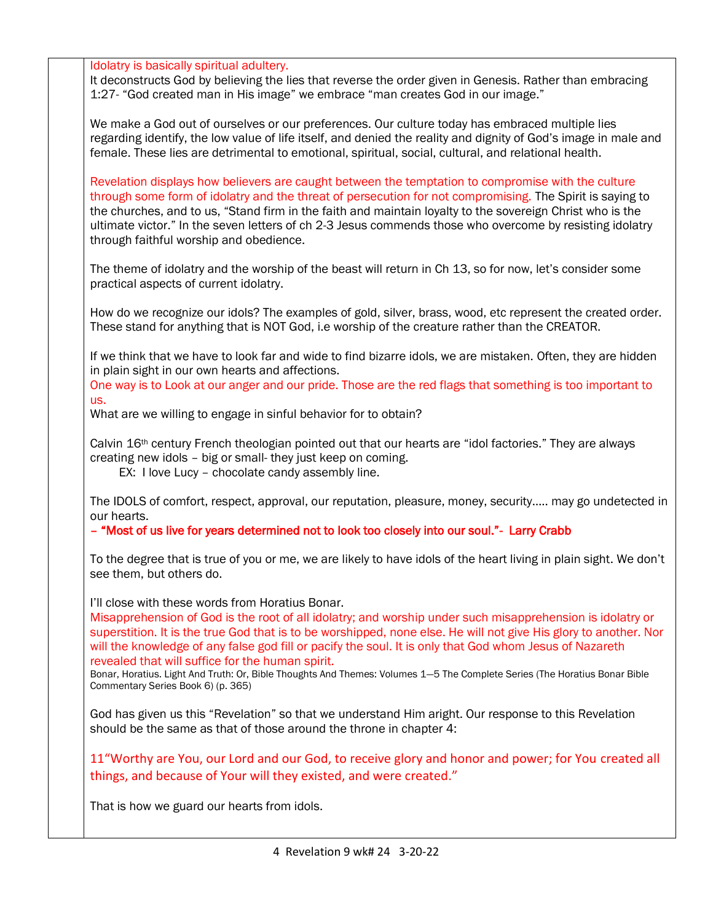Idolatry is basically spiritual adultery.

It deconstructs God by believing the lies that reverse the order given in Genesis. Rather than embracing 1:27- "God created man in His image" we embrace "man creates God in our image."

We make a God out of ourselves or our preferences. Our culture today has embraced multiple lies regarding identify, the low value of life itself, and denied the reality and dignity of God's image in male and female. These lies are detrimental to emotional, spiritual, social, cultural, and relational health.

Revelation displays how believers are caught between the temptation to compromise with the culture through some form of idolatry and the threat of persecution for not compromising. The Spirit is saying to the churches, and to us, "Stand firm in the faith and maintain loyalty to the sovereign Christ who is the ultimate victor." In the seven letters of ch 2-3 Jesus commends those who overcome by resisting idolatry through faithful worship and obedience.

The theme of idolatry and the worship of the beast will return in Ch 13, so for now, let's consider some practical aspects of current idolatry.

How do we recognize our idols? The examples of gold, silver, brass, wood, etc represent the created order. These stand for anything that is NOT God, i.e worship of the creature rather than the CREATOR.

If we think that we have to look far and wide to find bizarre idols, we are mistaken. Often, they are hidden in plain sight in our own hearts and affections.

One way is to Look at our anger and our pride. Those are the red flags that something is too important to us.

What are we willing to engage in sinful behavior for to obtain?

Calvin 16th century French theologian pointed out that our hearts are "idol factories." They are always creating new idols – big or small- they just keep on coming.

EX: I love Lucy – chocolate candy assembly line.

The IDOLS of comfort, respect, approval, our reputation, pleasure, money, security….. may go undetected in our hearts.

– "Most of us live for years determined not to look too closely into our soul."- Larry Crabb

To the degree that is true of you or me, we are likely to have idols of the heart living in plain sight. We don't see them, but others do.

I'll close with these words from Horatius Bonar.

Misapprehension of God is the root of all idolatry; and worship under such misapprehension is idolatry or superstition. It is the true God that is to be worshipped, none else. He will not give His glory to another. Nor will the knowledge of any false god fill or pacify the soul. It is only that God whom Jesus of Nazareth revealed that will suffice for the human spirit.

Bonar, Horatius. Light And Truth: Or, Bible Thoughts And Themes: Volumes 1—5 The Complete Series (The Horatius Bonar Bible Commentary Series Book 6) (p. 365)

God has given us this "Revelation" so that we understand Him aright. Our response to this Revelation should be the same as that of those around the throne in chapter 4:

11"Worthy are You, our Lord and our God, to receive glory and honor and power; for You created all things, and because of Your will they existed, and were created."

That is how we guard our hearts from idols.